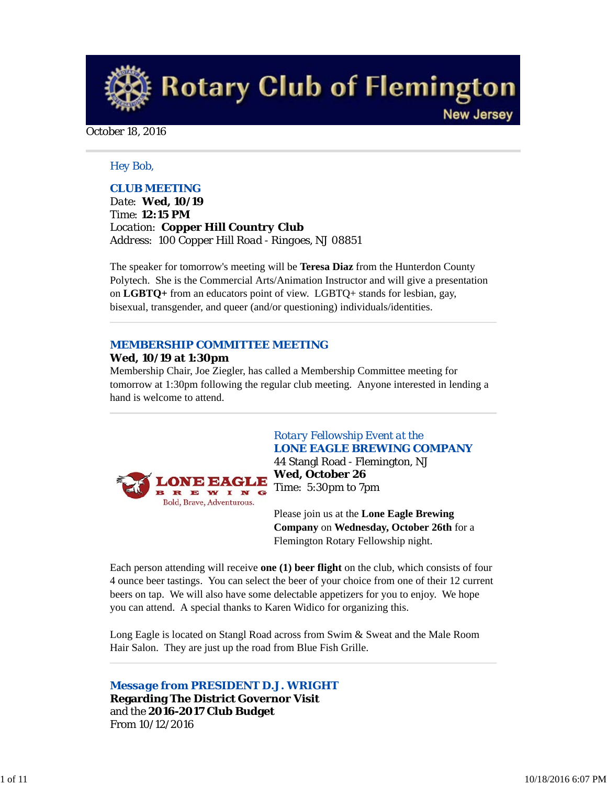**Rotary Club of Flemington New Jersey** 

#### October 18, 2016

## *Hey Bob,*

## *CLUB MEETING*

*Date: Wed, 10/19 Time: 12:15 PM Location: Copper Hill Country Club Address: 100 Copper Hill Road - Ringoes, NJ 08851*

The speaker for tomorrow's meeting will be **Teresa Diaz** from the Hunterdon County Polytech. She is the Commercial Arts/Animation Instructor and will give a presentation on **LGBTQ+** from an educators point of view. LGBTQ+ stands for lesbian, gay, bisexual, transgender, and queer (and/or questioning) individuals/identities.

# *MEMBERSHIP COMMITTEE MEETING*

#### **Wed, 10/19 at 1:30pm**

Membership Chair, Joe Ziegler, has called a Membership Committee meeting for tomorrow at 1:30pm following the regular club meeting. Anyone interested in lending a hand is welcome to attend.



# *Rotary Fellowship Event at the LONE EAGLE BREWING COMPANY*

44 Stangl Road - Flemington, NJ **Wed, October 26** Time: 5:30pm to 7pm

Please join us at the **Lone Eagle Brewing Company** on **Wednesday, October 26th** for a Flemington Rotary Fellowship night.

Each person attending will receive **one (1) beer flight** on the club, which consists of four 4 ounce beer tastings. You can select the beer of your choice from one of their 12 current beers on tap. We will also have some delectable appetizers for you to enjoy. We hope you can attend. A special thanks to Karen Widico for organizing this.

Long Eagle is located on Stangl Road across from Swim & Sweat and the Male Room Hair Salon. They are just up the road from Blue Fish Grille.

*Message from PRESIDENT D.J. WRIGHT* **Regarding The District Governor Visit** and the **2016-2017 Club Budget** From 10/12/2016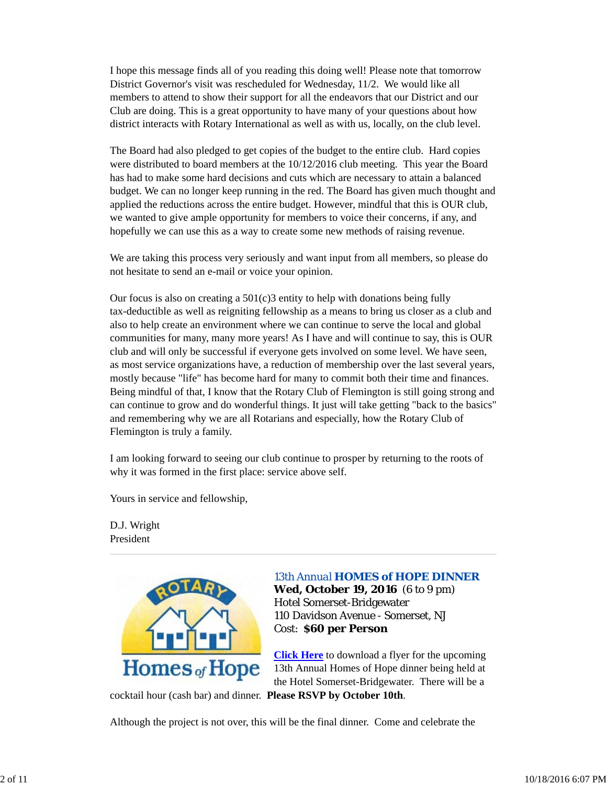I hope this message finds all of you reading this doing well! Please note that tomorrow District Governor's visit was rescheduled for Wednesday, 11/2. We would like all members to attend to show their support for all the endeavors that our District and our Club are doing. This is a great opportunity to have many of your questions about how district interacts with Rotary International as well as with us, locally, on the club level.

The Board had also pledged to get copies of the budget to the entire club. Hard copies were distributed to board members at the 10/12/2016 club meeting. This year the Board has had to make some hard decisions and cuts which are necessary to attain a balanced budget. We can no longer keep running in the red. The Board has given much thought and applied the reductions across the entire budget. However, mindful that this is OUR club, we wanted to give ample opportunity for members to voice their concerns, if any, and hopefully we can use this as a way to create some new methods of raising revenue.

We are taking this process very seriously and want input from all members, so please do not hesitate to send an e-mail or voice your opinion.

Our focus is also on creating a  $501(c)3$  entity to help with donations being fully tax-deductible as well as reigniting fellowship as a means to bring us closer as a club and also to help create an environment where we can continue to serve the local and global communities for many, many more years! As I have and will continue to say, this is OUR club and will only be successful if everyone gets involved on some level. We have seen, as most service organizations have, a reduction of membership over the last several years, mostly because "life" has become hard for many to commit both their time and finances. Being mindful of that, I know that the Rotary Club of Flemington is still going strong and can continue to grow and do wonderful things. It just will take getting "back to the basics" and remembering why we are all Rotarians and especially, how the Rotary Club of Flemington is truly a family.

I am looking forward to seeing our club continue to prosper by returning to the roots of why it was formed in the first place: service above self.

Yours in service and fellowship,

D.J. Wright President



#### *13th Annual HOMES of HOPE DINNER*

**Wed, October 19, 2016** (6 to 9 pm) Hotel Somerset-Bridgewater 110 Davidson Avenue - Somerset, NJ Cost: **\$60 per Person**

**Click Here** to download a flyer for the upcoming 13th Annual Homes of Hope dinner being held at the Hotel Somerset-Bridgewater. There will be a

cocktail hour (cash bar) and dinner. **Please RSVP by October 10th**.

Although the project is not over, this will be the final dinner. Come and celebrate the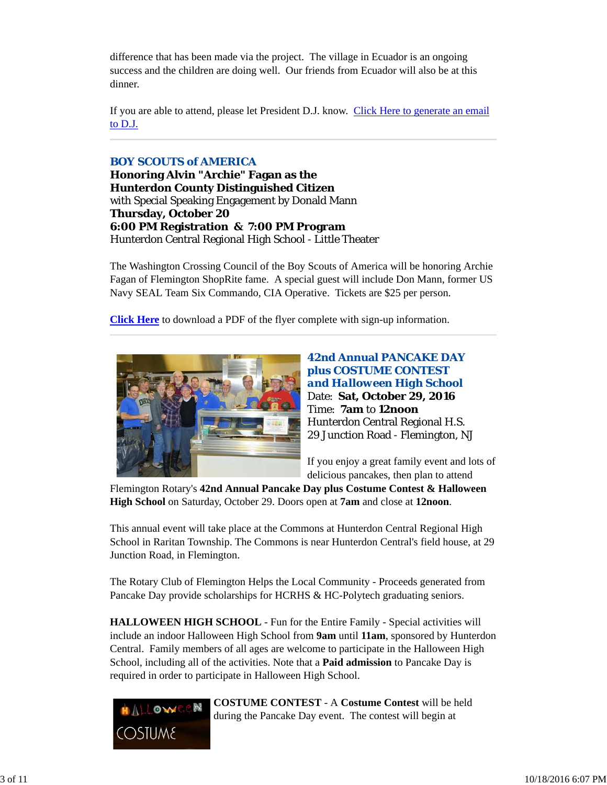difference that has been made via the project. The village in Ecuador is an ongoing success and the children are doing well. Our friends from Ecuador will also be at this dinner.

If you are able to attend, please let President D.J. know. Click Here to generate an email to D.J.

## *BOY SCOUTS of AMERICA*

**Honoring Alvin "Archie" Fagan as the Hunterdon County Distinguished Citizen** with Special Speaking Engagement by Donald Mann **Thursday, October 20 6:00 PM Registration & 7:00 PM Program** Hunterdon Central Regional High School - Little Theater

The Washington Crossing Council of the Boy Scouts of America will be honoring Archie Fagan of Flemington ShopRite fame. A special guest will include Don Mann, former US Navy SEAL Team Six Commando, CIA Operative. Tickets are \$25 per person.

**Click Here** to download a PDF of the flyer complete with sign-up information.



**42nd Annual PANCAKE DAY plus COSTUME CONTEST**  *and Halloween High School* Date: **Sat, October 29, 2016** Time: **7am** to **12noon** Hunterdon Central Regional H.S. 29 Junction Road - Flemington, NJ

If you enjoy a great family event and lots of delicious pancakes, then plan to attend

Flemington Rotary's **42nd Annual Pancake Day plus Costume Contest & Halloween High School** on Saturday, October 29. Doors open at **7am** and close at **12noon**.

This annual event will take place at the Commons at Hunterdon Central Regional High School in Raritan Township. The Commons is near Hunterdon Central's field house, at 29 Junction Road, in Flemington.

The Rotary Club of Flemington Helps the Local Community - Proceeds generated from Pancake Day provide scholarships for HCRHS & HC-Polytech graduating seniors.

**HALLOWEEN HIGH SCHOOL** - Fun for the Entire Family - Special activities will include an indoor Halloween High School from **9am** until **11am**, sponsored by Hunterdon Central. Family members of all ages are welcome to participate in the Halloween High School, including all of the activities. Note that a **Paid admission** to Pancake Day is required in order to participate in Halloween High School.



**COSTUME CONTEST** - A **Costume Contest** will be held during the Pancake Day event. The contest will begin at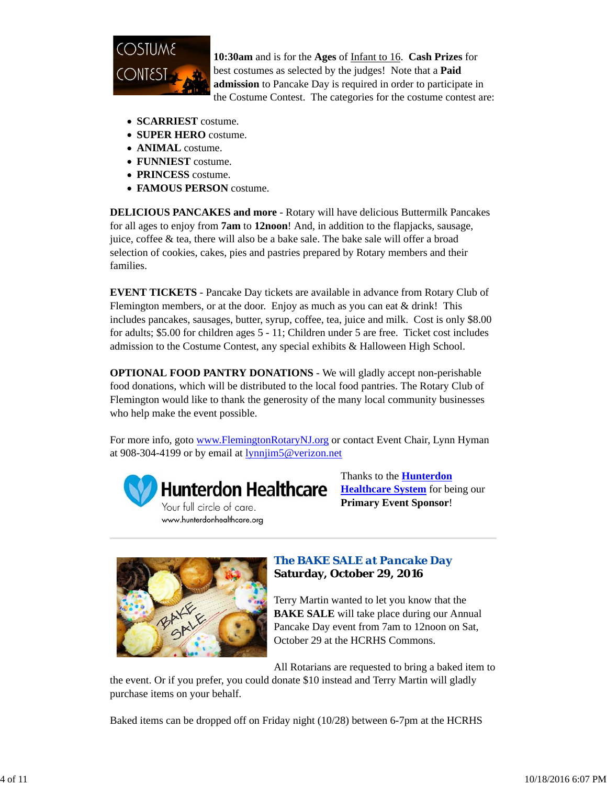

**10:30am** and is for the **Ages** of Infant to 16. **Cash Prizes** for best costumes as selected by the judges! Note that a **Paid admission** to Pancake Day is required in order to participate in the Costume Contest. The categories for the costume contest are:

- **SCARRIEST** costume.
- **SUPER HERO** costume.
- **ANIMAL** costume.
- **FUNNIEST** costume.
- **PRINCESS** costume.
- **FAMOUS PERSON** costume.

**DELICIOUS PANCAKES and more** - Rotary will have delicious Buttermilk Pancakes for all ages to enjoy from **7am** to **12noon**! And, in addition to the flapjacks, sausage, juice, coffee & tea, there will also be a bake sale. The bake sale will offer a broad selection of cookies, cakes, pies and pastries prepared by Rotary members and their families.

**EVENT TICKETS** - Pancake Day tickets are available in advance from Rotary Club of Flemington members, or at the door. Enjoy as much as you can eat  $&$  drink! This includes pancakes, sausages, butter, syrup, coffee, tea, juice and milk. Cost is only \$8.00 for adults; \$5.00 for children ages 5 - 11; Children under 5 are free. Ticket cost includes admission to the Costume Contest, any special exhibits & Halloween High School.

**OPTIONAL FOOD PANTRY DONATIONS** - We will gladly accept non-perishable food donations, which will be distributed to the local food pantries. The Rotary Club of Flemington would like to thank the generosity of the many local community businesses who help make the event possible.

For more info, goto www.FlemingtonRotaryNJ.org or contact Event Chair, Lynn Hyman at 908-304-4199 or by email at lynnjim5@verizon.net



Thanks to the **Hunterdon Healthcare System** for being our **Primary Event Sponsor**!



# *The BAKE SALE at Pancake Day* **Saturday, October 29, 2016**

Terry Martin wanted to let you know that the **BAKE SALE** will take place during our Annual Pancake Day event from 7am to 12noon on Sat, October 29 at the HCRHS Commons.

All Rotarians are requested to bring a baked item to

the event. Or if you prefer, you could donate \$10 instead and Terry Martin will gladly purchase items on your behalf.

Baked items can be dropped off on Friday night (10/28) between 6-7pm at the HCRHS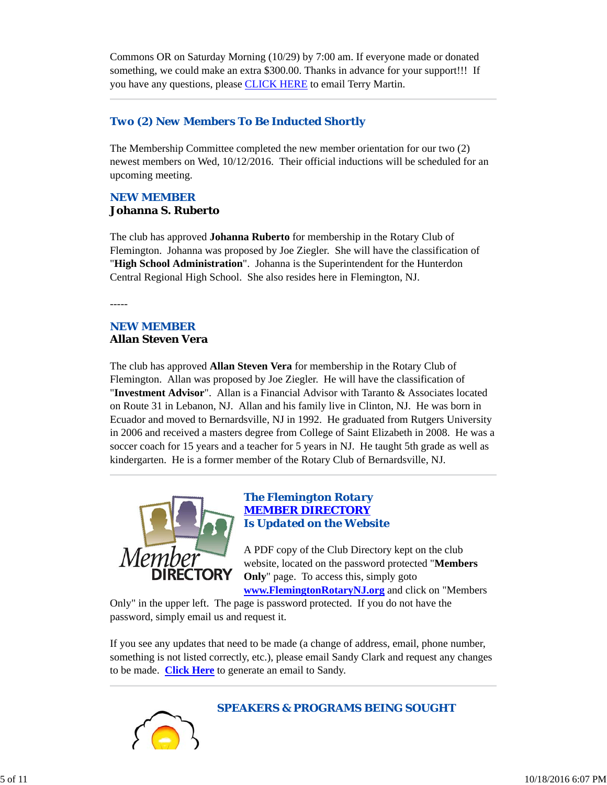Commons OR on Saturday Morning (10/29) by 7:00 am. If everyone made or donated something, we could make an extra \$300.00. Thanks in advance for your support!!! If you have any questions, please **CLICK HERE** to email Terry Martin.

## *Two (2) New Members To Be Inducted Shortly*

The Membership Committee completed the new member orientation for our two (2) newest members on Wed, 10/12/2016. Their official inductions will be scheduled for an upcoming meeting.

# *NEW MEMBER* **Johanna S. Ruberto**

The club has approved **Johanna Ruberto** for membership in the Rotary Club of Flemington. Johanna was proposed by Joe Ziegler. She will have the classification of "**High School Administration**". Johanna is the Superintendent for the Hunterdon Central Regional High School. She also resides here in Flemington, NJ.

-----

## *NEW MEMBER* **Allan Steven Vera**

The club has approved **Allan Steven Vera** for membership in the Rotary Club of Flemington. Allan was proposed by Joe Ziegler. He will have the classification of "**Investment Advisor**". Allan is a Financial Advisor with Taranto & Associates located on Route 31 in Lebanon, NJ. Allan and his family live in Clinton, NJ. He was born in Ecuador and moved to Bernardsville, NJ in 1992. He graduated from Rutgers University in 2006 and received a masters degree from College of Saint Elizabeth in 2008. He was a soccer coach for 15 years and a teacher for 5 years in NJ. He taught 5th grade as well as kindergarten. He is a former member of the Rotary Club of Bernardsville, NJ.



# *The Flemington Rotary MEMBER DIRECTORY Is Updated on the Website*

A PDF copy of the Club Directory kept on the club website, located on the password protected "**Members Only**" page. To access this, simply goto **www.FlemingtonRotaryNJ.org** and click on "Members

Only" in the upper left. The page is password protected. If you do not have the password, simply email us and request it.

If you see any updates that need to be made (a change of address, email, phone number, something is not listed correctly, etc.), please email Sandy Clark and request any changes to be made. **Click Here** to generate an email to Sandy.



*SPEAKERS & PROGRAMS BEING SOUGHT*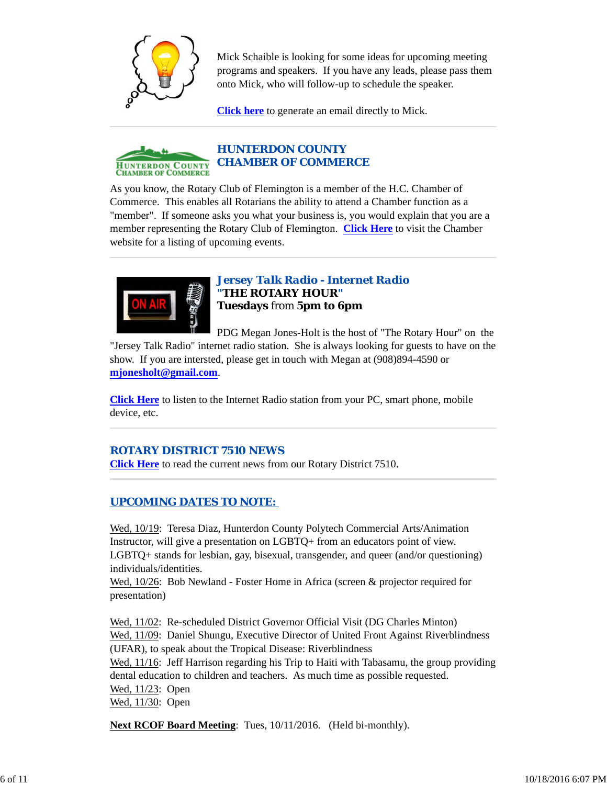

Mick Schaible is looking for some ideas for upcoming meeting programs and speakers. If you have any leads, please pass them onto Mick, who will follow-up to schedule the speaker.

**Click here** to generate an email directly to Mick.



As you know, the Rotary Club of Flemington is a member of the H.C. Chamber of Commerce. This enables all Rotarians the ability to attend a Chamber function as a "member". If someone asks you what your business is, you would explain that you are a member representing the Rotary Club of Flemington. **Click Here** to visit the Chamber website for a listing of upcoming events.



*Jersey Talk Radio - Internet Radio "THE ROTARY HOUR"* **Tuesdays** from **5pm to 6pm**

PDG Megan Jones-Holt is the host of "The Rotary Hour" on the "Jersey Talk Radio" internet radio station. She is always looking for guests to have on the show. If you are intersted, please get in touch with Megan at (908)894-4590 or **mjonesholt@gmail.com**.

**Click Here** to listen to the Internet Radio station from your PC, smart phone, mobile device, etc.

# *ROTARY DISTRICT 7510 NEWS*

**Click Here** to read the current news from our Rotary District 7510.

# *UPCOMING DATES TO NOTE:*

Wed, 10/19: Teresa Diaz, Hunterdon County Polytech Commercial Arts/Animation Instructor, will give a presentation on LGBTQ+ from an educators point of view. LGBTQ+ stands for lesbian, gay, bisexual, transgender, and queer (and/or questioning) individuals/identities.

Wed,  $10/26$ : Bob Newland - Foster Home in Africa (screen & projector required for presentation)

Wed, 11/02: Re-scheduled District Governor Official Visit (DG Charles Minton) Wed, 11/09: Daniel Shungu, Executive Director of United Front Against Riverblindness (UFAR), to speak about the Tropical Disease: Riverblindness Wed,  $11/16$ : Jeff Harrison regarding his Trip to Haiti with Tabasamu, the group providing dental education to children and teachers. As much time as possible requested. Wed, 11/23: Open Wed, 11/30: Open

**Next RCOF Board Meeting**: Tues, 10/11/2016. (Held bi-monthly).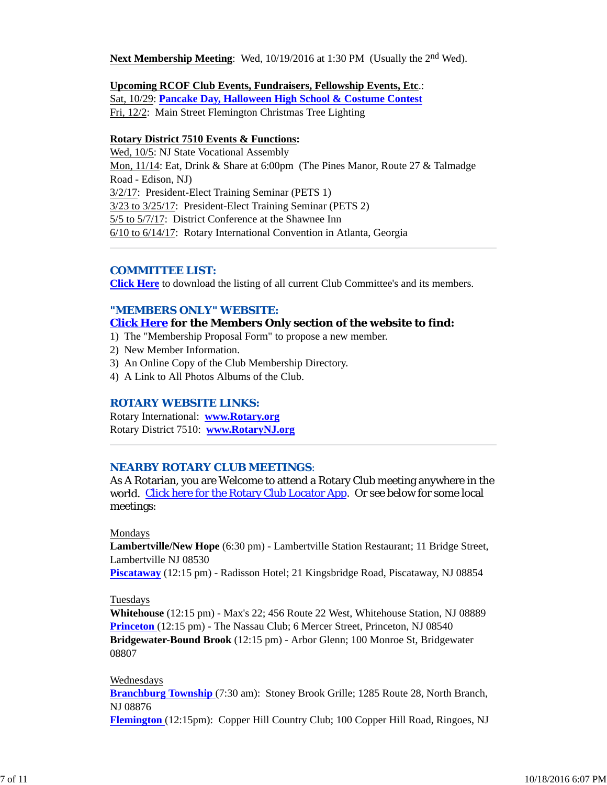**Next Membership Meeting**: Wed, 10/19/2016 at 1:30 PM (Usually the 2<sup>nd</sup> Wed).

## **Upcoming RCOF Club Events, Fundraisers, Fellowship Events, Etc**.:

Sat, 10/29: **Pancake Day, Halloween High School & Costume Contest** Fri, 12/2: Main Street Flemington Christmas Tree Lighting

#### **Rotary District 7510 Events & Functions:**

Wed, 10/5: NJ State Vocational Assembly Mon, 11/14: Eat, Drink & Share at 6:00pm (The Pines Manor, Route 27 & Talmadge Road - Edison, NJ) 3/2/17: President-Elect Training Seminar (PETS 1) 3/23 to 3/25/17: President-Elect Training Seminar (PETS 2) 5/5 to 5/7/17: District Conference at the Shawnee Inn 6/10 to 6/14/17: Rotary International Convention in Atlanta, Georgia

## *COMMITTEE LIST:*

**Click Here** to download the listing of all current Club Committee's and its members.

## *"MEMBERS ONLY" WEBSITE:*

## **Click Here for the Members Only section of the website to find:**

- 1) The "Membership Proposal Form" to propose a new member.
- 2) New Member Information.
- 3) An Online Copy of the Club Membership Directory.
- 4) A Link to All Photos Albums of the Club.

#### *ROTARY WEBSITE LINKS:*

Rotary International: **www.Rotary.org** Rotary District 7510: **www.RotaryNJ.org**

#### *NEARBY ROTARY CLUB MEETINGS:*

As A Rotarian, you are Welcome to attend a Rotary Club meeting anywhere in the world. Click here for the Rotary Club Locator App. Or see below for some local meetings:

#### Mondays

**Lambertville/New Hope** (6:30 pm) - Lambertville Station Restaurant; 11 Bridge Street, Lambertville NJ 08530

**Piscataway** (12:15 pm) - Radisson Hotel; 21 Kingsbridge Road, Piscataway, NJ 08854

## Tuesdays

**Whitehouse** (12:15 pm) - Max's 22; 456 Route 22 West, Whitehouse Station, NJ 08889 **Princeton** (12:15 pm) - The Nassau Club; 6 Mercer Street, Princeton, NJ 08540 **Bridgewater-Bound Brook** (12:15 pm) - Arbor Glenn; 100 Monroe St, Bridgewater 08807

#### Wednesdays

**Branchburg Township** (7:30 am): Stoney Brook Grille; 1285 Route 28, North Branch, NJ 08876

**Flemington** (12:15pm): Copper Hill Country Club; 100 Copper Hill Road, Ringoes, NJ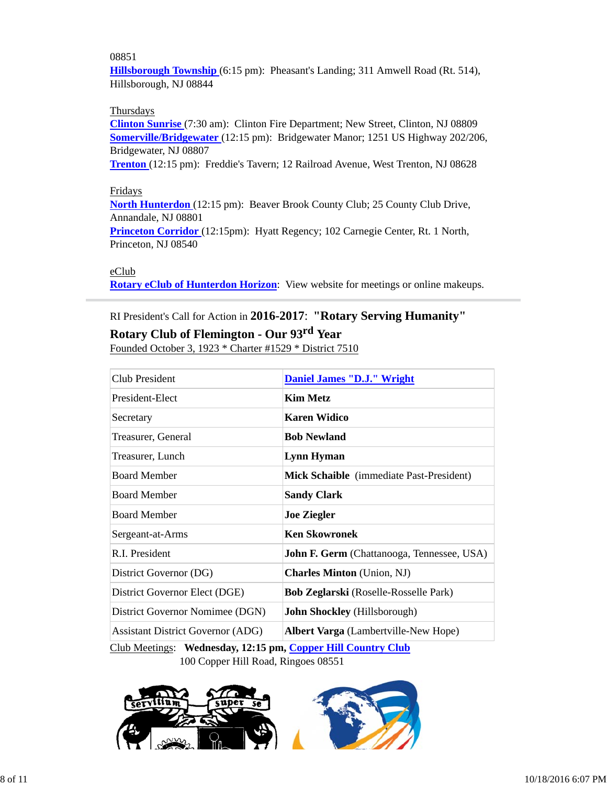## 08851

**Hillsborough Township** (6:15 pm): Pheasant's Landing; 311 Amwell Road (Rt. 514), Hillsborough, NJ 08844

## **Thursdays**

**Clinton Sunrise** (7:30 am): Clinton Fire Department; New Street, Clinton, NJ 08809 **Somerville/Bridgewater** (12:15 pm): Bridgewater Manor; 1251 US Highway 202/206, Bridgewater, NJ 08807

**Trenton** (12:15 pm): Freddie's Tavern; 12 Railroad Avenue, West Trenton, NJ 08628

# Fridays

**North Hunterdon** (12:15 pm): Beaver Brook County Club; 25 County Club Drive, Annandale, NJ 08801 **Princeton Corridor** (12:15pm): Hyatt Regency; 102 Carnegie Center, Rt. 1 North,

Princeton, NJ 08540

## eClub

**Rotary eClub of Hunterdon Horizon**: View website for meetings or online makeups.

# RI President's Call for Action in **2016-2017**: **"Rotary Serving Humanity"**

# **Rotary Club of Flemington - Our 93rd Year**

Founded October 3, 1923 \* Charter #1529 \* District 7510

| Club President                           | <b>Daniel James "D.J." Wright</b>                 |  |
|------------------------------------------|---------------------------------------------------|--|
| President-Elect                          | <b>Kim Metz</b>                                   |  |
| Secretary                                | <b>Karen Widico</b>                               |  |
| Treasurer, General                       | <b>Bob Newland</b>                                |  |
| Treasurer, Lunch                         | <b>Lynn Hyman</b>                                 |  |
| <b>Board Member</b>                      | <b>Mick Schaible</b> (immediate Past-President)   |  |
| <b>Board Member</b>                      | <b>Sandy Clark</b>                                |  |
| <b>Board Member</b>                      | <b>Joe Ziegler</b>                                |  |
| Sergeant-at-Arms                         | <b>Ken Skowronek</b>                              |  |
| R.I. President                           | <b>John F. Germ</b> (Chattanooga, Tennessee, USA) |  |
| District Governor (DG)                   | <b>Charles Minton</b> (Union, NJ)                 |  |
| District Governor Elect (DGE)            | <b>Bob Zeglarski</b> (Roselle-Rosselle Park)      |  |
| District Governor Nomimee (DGN)          | John Shockley (Hillsborough)                      |  |
| <b>Assistant District Governor (ADG)</b> | <b>Albert Varga</b> (Lambertville-New Hope)       |  |
|                                          |                                                   |  |

Club Meetings: **Wednesday, 12:15 pm, Copper Hill Country Club** 100 Copper Hill Road, Ringoes 08551

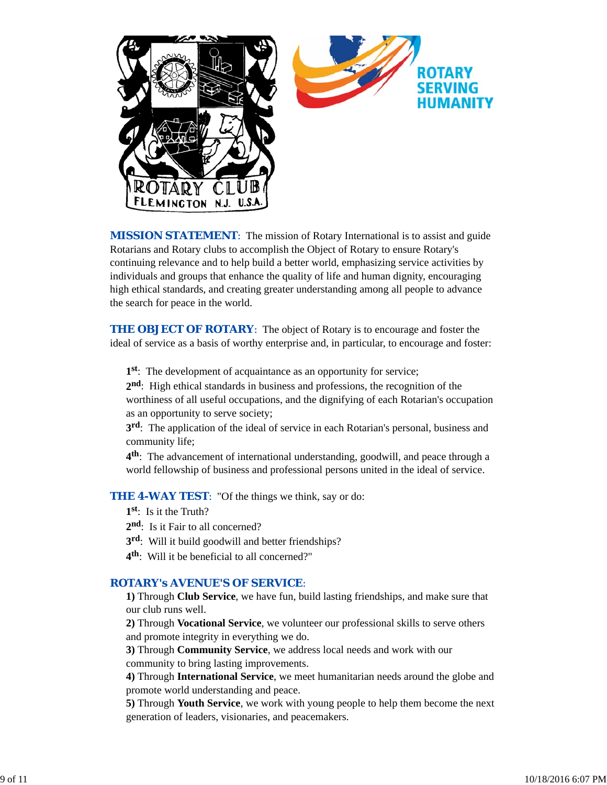

*MISSION STATEMENT*: The mission of Rotary International is to assist and guide Rotarians and Rotary clubs to accomplish the Object of Rotary to ensure Rotary's continuing relevance and to help build a better world, emphasizing service activities by individuals and groups that enhance the quality of life and human dignity, encouraging high ethical standards, and creating greater understanding among all people to advance the search for peace in the world.

**THE OBJECT OF ROTARY:** The object of Rotary is to encourage and foster the ideal of service as a basis of worthy enterprise and, in particular, to encourage and foster:

**1st**: The development of acquaintance as an opportunity for service;

**2nd**: High ethical standards in business and professions, the recognition of the worthiness of all useful occupations, and the dignifying of each Rotarian's occupation as an opportunity to serve society;

**3rd**: The application of the ideal of service in each Rotarian's personal, business and community life;

**4th**: The advancement of international understanding, goodwill, and peace through a world fellowship of business and professional persons united in the ideal of service.

**THE 4-WAY TEST:** "Of the things we think, say or do:

- **1st**: Is it the Truth?
- 2<sup>nd</sup>: Is it Fair to all concerned?
- **3rd**: Will it build goodwill and better friendships?
- **4th**: Will it be beneficial to all concerned?"

## *ROTARY's AVENUE'S OF SERVICE*:

**1)** Through **Club Service**, we have fun, build lasting friendships, and make sure that our club runs well.

**2)** Through **Vocational Service**, we volunteer our professional skills to serve others and promote integrity in everything we do.

**3)** Through **Community Service**, we address local needs and work with our community to bring lasting improvements.

**4)** Through **International Service**, we meet humanitarian needs around the globe and promote world understanding and peace.

**5)** Through **Youth Service**, we work with young people to help them become the next generation of leaders, visionaries, and peacemakers.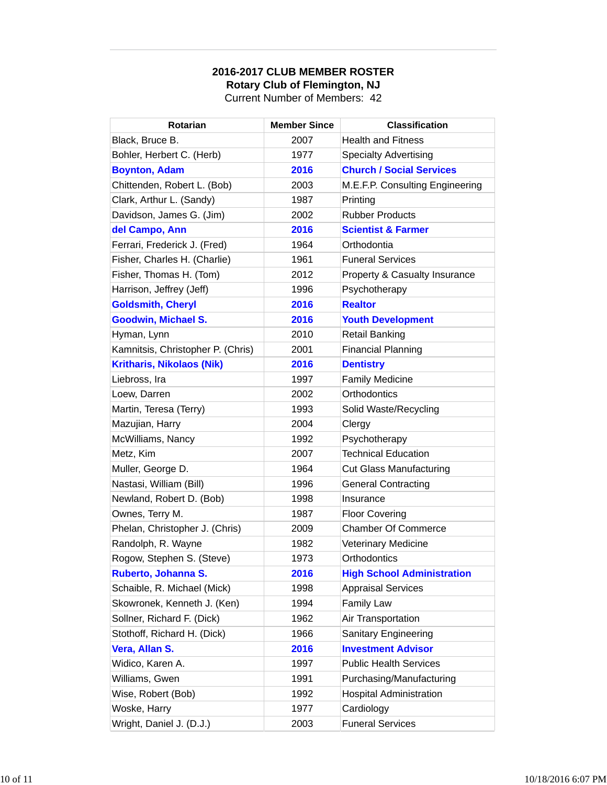# **2016-2017 CLUB MEMBER ROSTER Rotary Club of Flemington, NJ** Current Number of Members: 42

| Rotarian                          | <b>Member Since</b> | <b>Classification</b>             |
|-----------------------------------|---------------------|-----------------------------------|
| Black, Bruce B.                   | 2007                | <b>Health and Fitness</b>         |
| Bohler, Herbert C. (Herb)         | 1977                | <b>Specialty Advertising</b>      |
| <b>Boynton, Adam</b>              | 2016                | <b>Church / Social Services</b>   |
| Chittenden, Robert L. (Bob)       | 2003                | M.E.F.P. Consulting Engineering   |
| Clark, Arthur L. (Sandy)          | 1987                | Printing                          |
| Davidson, James G. (Jim)          | 2002                | <b>Rubber Products</b>            |
| del Campo, Ann                    | 2016                | <b>Scientist &amp; Farmer</b>     |
| Ferrari, Frederick J. (Fred)      | 1964                | Orthodontia                       |
| Fisher, Charles H. (Charlie)      | 1961                | <b>Funeral Services</b>           |
| Fisher, Thomas H. (Tom)           | 2012                | Property & Casualty Insurance     |
| Harrison, Jeffrey (Jeff)          | 1996                | Psychotherapy                     |
| <b>Goldsmith, Cheryl</b>          | 2016                | <b>Realtor</b>                    |
| <b>Goodwin, Michael S.</b>        | 2016                | <b>Youth Development</b>          |
| Hyman, Lynn                       | 2010                | <b>Retail Banking</b>             |
| Kamnitsis, Christopher P. (Chris) | 2001                | <b>Financial Planning</b>         |
| <b>Kritharis, Nikolaos (Nik)</b>  | 2016                | <b>Dentistry</b>                  |
| Liebross, Ira                     | 1997                | <b>Family Medicine</b>            |
| Loew, Darren                      | 2002                | Orthodontics                      |
| Martin, Teresa (Terry)            | 1993                | Solid Waste/Recycling             |
| Mazujian, Harry                   | 2004                | Clergy                            |
| McWilliams, Nancy                 | 1992                | Psychotherapy                     |
| Metz, Kim                         | 2007                | <b>Technical Education</b>        |
| Muller, George D.                 | 1964                | <b>Cut Glass Manufacturing</b>    |
| Nastasi, William (Bill)           | 1996                | <b>General Contracting</b>        |
| Newland, Robert D. (Bob)          | 1998                | Insurance                         |
| Ownes, Terry M.                   | 1987                | <b>Floor Covering</b>             |
| Phelan, Christopher J. (Chris)    | 2009                | <b>Chamber Of Commerce</b>        |
| Randolph, R. Wayne                | 1982                | <b>Veterinary Medicine</b>        |
| Rogow, Stephen S. (Steve)         | 1973                | Orthodontics                      |
| Ruberto, Johanna S.               | 2016                | <b>High School Administration</b> |
| Schaible, R. Michael (Mick)       | 1998                | <b>Appraisal Services</b>         |
| Skowronek, Kenneth J. (Ken)       | 1994                | Family Law                        |
| Sollner, Richard F. (Dick)        | 1962                | Air Transportation                |
| Stothoff, Richard H. (Dick)       | 1966                | <b>Sanitary Engineering</b>       |
| Vera, Allan S.                    | 2016                | <b>Investment Advisor</b>         |
| Widico, Karen A.                  | 1997                | <b>Public Health Services</b>     |
| Williams, Gwen                    | 1991                | Purchasing/Manufacturing          |
| Wise, Robert (Bob)                | 1992                | <b>Hospital Administration</b>    |
| Woske, Harry                      | 1977                | Cardiology                        |
| Wright, Daniel J. (D.J.)          | 2003                | <b>Funeral Services</b>           |